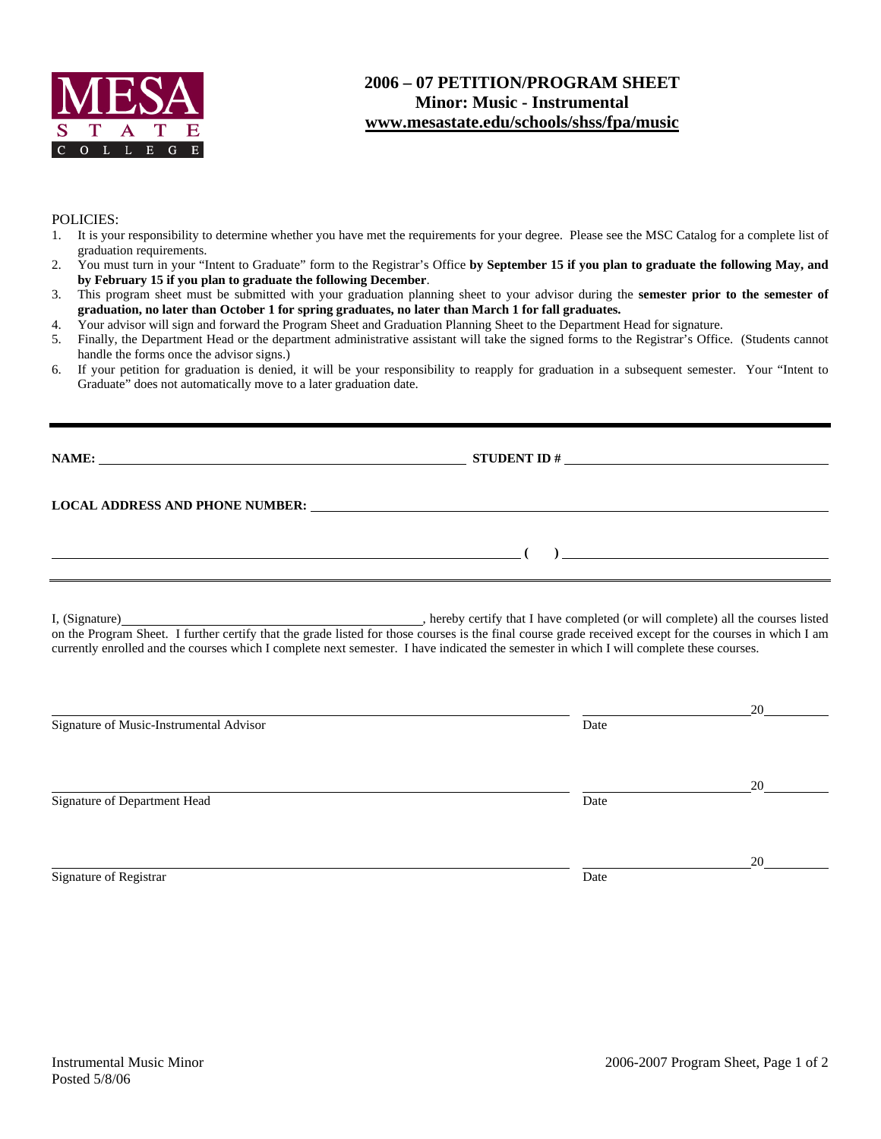

## POLICIES:

- 1. It is your responsibility to determine whether you have met the requirements for your degree. Please see the MSC Catalog for a complete list of graduation requirements.
- 2. You must turn in your "Intent to Graduate" form to the Registrar's Office **by September 15 if you plan to graduate the following May, and by February 15 if you plan to graduate the following December**.
- 3. This program sheet must be submitted with your graduation planning sheet to your advisor during the **semester prior to the semester of graduation, no later than October 1 for spring graduates, no later than March 1 for fall graduates.**
- 4. Your advisor will sign and forward the Program Sheet and Graduation Planning Sheet to the Department Head for signature.
- 5. Finally, the Department Head or the department administrative assistant will take the signed forms to the Registrar's Office. (Students cannot handle the forms once the advisor signs.)
- 6. If your petition for graduation is denied, it will be your responsibility to reapply for graduation in a subsequent semester. Your "Intent to Graduate" does not automatically move to a later graduation date.

| <b>NAME:</b>                    | <b>STUDENT ID#</b> | <u> 1980 - Jan Samuel Barbara, margaret e populazion del control del control del control del control de la provi</u> |  |  |
|---------------------------------|--------------------|----------------------------------------------------------------------------------------------------------------------|--|--|
| LOCAL ADDRESS AND PHONE NUMBER: |                    |                                                                                                                      |  |  |
|                                 |                    |                                                                                                                      |  |  |
|                                 |                    |                                                                                                                      |  |  |

I, (Signature) , hereby certify that I have completed (or will complete) all the courses listed on the Program Sheet. I further certify that the grade listed for those courses is the final course grade received except for the courses in which I am currently enrolled and the courses which I complete next semester. I have indicated the semester in which I will complete these courses.

|                                         |      | 20 |
|-----------------------------------------|------|----|
| Signature of Music-Instrumental Advisor | Date |    |
|                                         |      |    |
|                                         |      | 20 |
| Signature of Department Head            | Date |    |
|                                         |      |    |
|                                         |      | 20 |
| Signature of Registrar                  | Date |    |